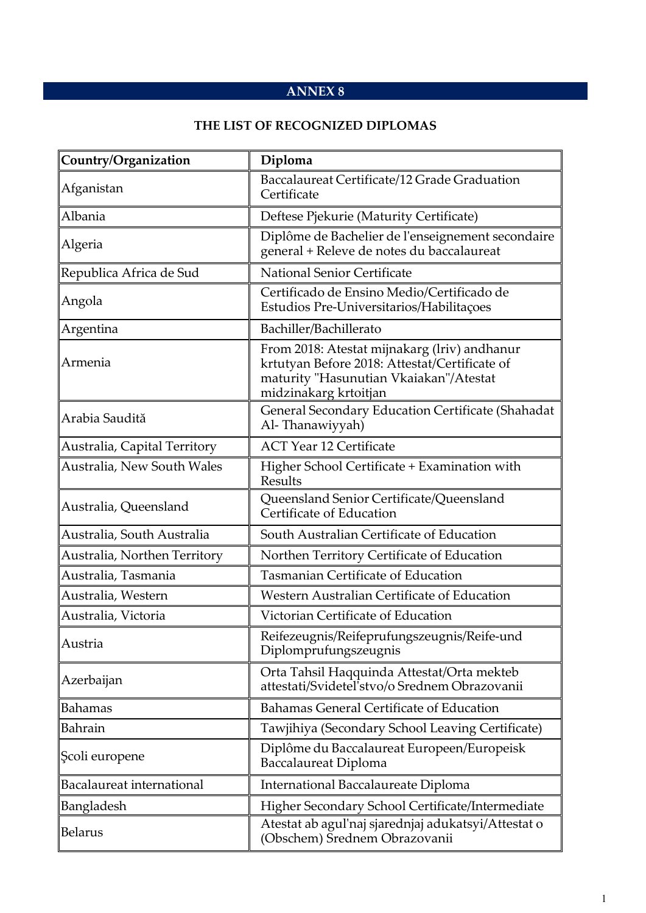## **ANNEX 8**

## **THE LIST OF RECOGNIZED DIPLOMAS**

| Country/Organization         | Diploma                                                                                                                                                          |
|------------------------------|------------------------------------------------------------------------------------------------------------------------------------------------------------------|
| Afganistan                   | Baccalaureat Certificate/12 Grade Graduation<br>Certificate                                                                                                      |
| Albania                      | Deftese Pjekurie (Maturity Certificate)                                                                                                                          |
| Algeria                      | Diplôme de Bachelier de l'enseignement secondaire<br>general + Releve de notes du baccalaureat                                                                   |
| Republica Africa de Sud      | <b>National Senior Certificate</b>                                                                                                                               |
| Angola                       | Certificado de Ensino Medio/Certificado de<br>Estudios Pre-Universitarios/Habilitações                                                                           |
| Argentina                    | Bachiller/Bachillerato                                                                                                                                           |
| Armenia                      | From 2018: Atestat mijnakarg (lriv) andhanur<br>krtutyan Before 2018: Attestat/Certificate of<br>maturity "Hasunutian Vkaiakan"/Atestat<br>midzinakarg krtoitjan |
| Arabia Saudită               | General Secondary Education Certificate (Shahadat<br>Al-Thanawiyyah)                                                                                             |
| Australia, Capital Territory | <b>ACT Year 12 Certificate</b>                                                                                                                                   |
| Australia, New South Wales   | Higher School Certificate + Examination with<br><b>Results</b>                                                                                                   |
| Australia, Queensland        | Queensland Senior Certificate/Queensland<br>Certificate of Education                                                                                             |
| Australia, South Australia   | South Australian Certificate of Education                                                                                                                        |
| Australia, Northen Territory | Northen Territory Certificate of Education                                                                                                                       |
| Australia, Tasmania          | <b>Tasmanian Certificate of Education</b>                                                                                                                        |
| Australia, Western           | Western Australian Certificate of Education                                                                                                                      |
| Australia, Victoria          | Victorian Certificate of Education                                                                                                                               |
| Austria                      | Reifezeugnis/Reifeprufungszeugnis/Reife-und<br>Diplomprufungszeugnis                                                                                             |
| Azerbaijan                   | Orta Tahsil Haqquinda Attestat/Orta mekteb<br>attestati/Svidetel'stvo/o Srednem Obrazovanii                                                                      |
| Bahamas                      | Bahamas General Certificate of Education                                                                                                                         |
| Bahrain                      | Tawjihiya (Secondary School Leaving Certificate)                                                                                                                 |
| Şcoli europene               | Diplôme du Baccalaureat Europeen/Europeisk<br>Baccalaureat Diploma                                                                                               |
| Bacalaureat international    | International Baccalaureate Diploma                                                                                                                              |
| Bangladesh                   | Higher Secondary School Certificate/Intermediate                                                                                                                 |
| <b>Belarus</b>               | Atestat ab agul'naj sjarednjaj adukatsyi/Attestat o<br>(Obschem) Srednem Obrazovanii                                                                             |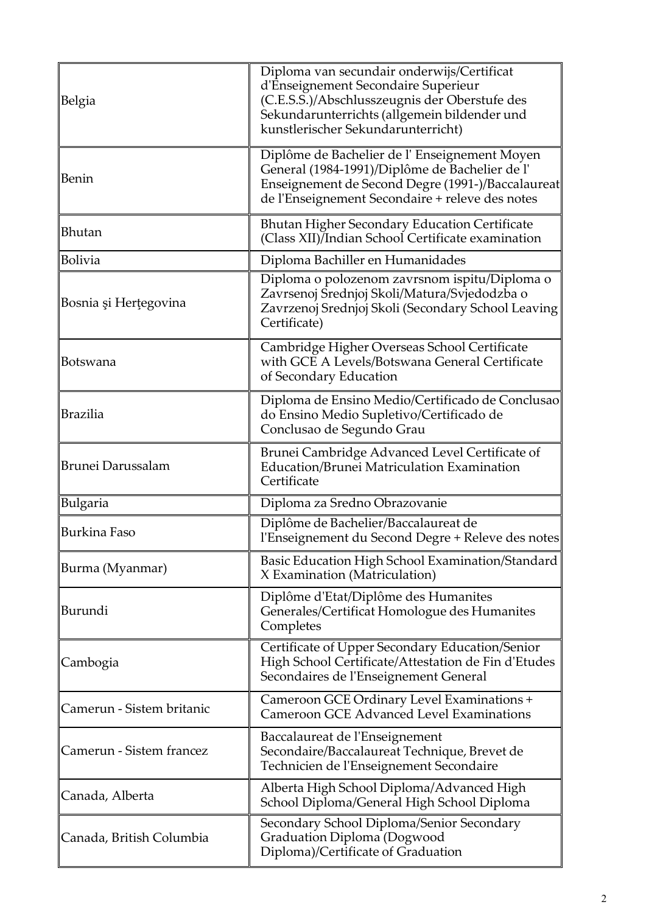| Belgia                    | Diploma van secundair onderwijs/Certificat<br>d'Enseignement Secondaire Superieur<br>(C.E.S.S.)/Abschlusszeugnis der Oberstufe des<br>Sekundarunterrichts (allgemein bildender und<br>kunstlerischer Sekundarunterricht) |
|---------------------------|--------------------------------------------------------------------------------------------------------------------------------------------------------------------------------------------------------------------------|
| Benin                     | Diplôme de Bachelier de l'Enseignement Moyen<br>General (1984-1991)/Diplôme de Bachelier de l'<br>Enseignement de Second Degre (1991-)/Baccalaureat<br>de l'Enseignement Secondaire + releve des notes                   |
| Bhutan                    | <b>Bhutan Higher Secondary Education Certificate</b><br>(Class XII)/Indian School Certificate examination                                                                                                                |
| <b>Bolivia</b>            | Diploma Bachiller en Humanidades                                                                                                                                                                                         |
| Bosnia și Herțegovina     | Diploma o polozenom zavrsnom ispitu/Diploma o<br>Zavrsenoj Srednjoj Skoli/Matura/Svjedodzba o<br>Zavrzenoj Srednjoj Skoli (Secondary School Leaving<br>Certificate)                                                      |
| Botswana                  | Cambridge Higher Overseas School Certificate<br>with GCE A Levels/Botswana General Certificate<br>of Secondary Education                                                                                                 |
| Brazilia                  | Diploma de Ensino Medio/Certificado de Conclusao<br>do Ensino Medio Supletivo/Certificado de<br>Conclusao de Segundo Grau                                                                                                |
| <b>Brunei Darussalam</b>  | Brunei Cambridge Advanced Level Certificate of<br>Education/Brunei Matriculation Examination<br>Certificate                                                                                                              |
| <b>Bulgaria</b>           | Diploma za Sredno Obrazovanie                                                                                                                                                                                            |
| Burkina Faso              | Diplôme de Bachelier/Baccalaureat de<br>l'Enseignement du Second Degre + Releve des notes                                                                                                                                |
| Burma (Myanmar)           | Basic Education High School Examination/Standard<br>X Examination (Matriculation)                                                                                                                                        |
| Burundi                   | Diplôme d'Etat/Diplôme des Humanites<br>Generales/Certificat Homologue des Humanites<br>Completes                                                                                                                        |
| Cambogia                  | Certificate of Upper Secondary Education/Senior<br>High School Certificate/Attestation de Fin d'Etudes<br>Secondaires de l'Enseignement General                                                                          |
| Camerun - Sistem britanic | Cameroon GCE Ordinary Level Examinations +<br><b>Cameroon GCE Advanced Level Examinations</b>                                                                                                                            |
| Camerun - Sistem francez  | Baccalaureat de l'Enseignement<br>Secondaire/Baccalaureat Technique, Brevet de<br>Technicien de l'Enseignement Secondaire                                                                                                |
| Canada, Alberta           | Alberta High School Diploma/Advanced High<br>School Diploma/General High School Diploma                                                                                                                                  |
| Canada, British Columbia  | Secondary School Diploma/Senior Secondary<br>Graduation Diploma (Dogwood<br>Diploma)/Certificate of Graduation                                                                                                           |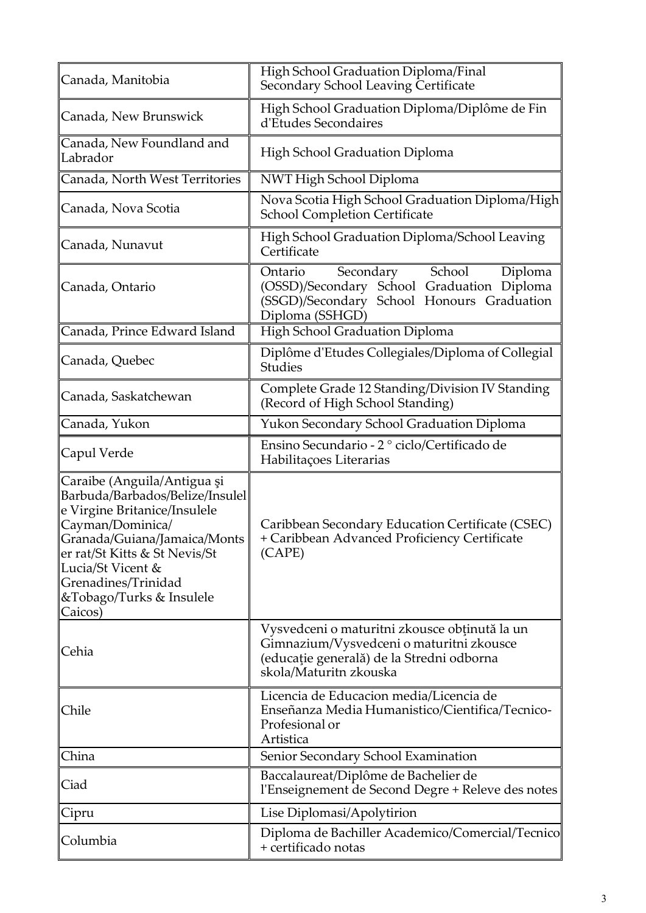| Canada, Manitobia                                                                                                                                                                                                                                                      | High School Graduation Diploma/Final<br>Secondary School Leaving Certificate                                                                                     |
|------------------------------------------------------------------------------------------------------------------------------------------------------------------------------------------------------------------------------------------------------------------------|------------------------------------------------------------------------------------------------------------------------------------------------------------------|
| Canada, New Brunswick                                                                                                                                                                                                                                                  | High School Graduation Diploma/Diplôme de Fin<br>d'Etudes Secondaires                                                                                            |
| Canada, New Foundland and<br>Labrador                                                                                                                                                                                                                                  | High School Graduation Diploma                                                                                                                                   |
| Canada, North West Territories                                                                                                                                                                                                                                         | NWT High School Diploma                                                                                                                                          |
| Canada, Nova Scotia                                                                                                                                                                                                                                                    | Nova Scotia High School Graduation Diploma/High<br><b>School Completion Certificate</b>                                                                          |
| Canada, Nunavut                                                                                                                                                                                                                                                        | High School Graduation Diploma/School Leaving<br>Certificate                                                                                                     |
| Canada, Ontario                                                                                                                                                                                                                                                        | School<br>Ontario<br>Secondary<br>Diploma<br>(OSSD)/Secondary School Graduation Diploma<br>(SSGD)/Secondary School Honours Graduation<br>Diploma (SSHGD)         |
| Canada, Prince Edward Island                                                                                                                                                                                                                                           | High School Graduation Diploma                                                                                                                                   |
| Canada, Quebec                                                                                                                                                                                                                                                         | Diplôme d'Etudes Collegiales/Diploma of Collegial<br><b>Studies</b>                                                                                              |
| Canada, Saskatchewan                                                                                                                                                                                                                                                   | Complete Grade 12 Standing/Division IV Standing<br>(Record of High School Standing)                                                                              |
| Canada, Yukon                                                                                                                                                                                                                                                          | Yukon Secondary School Graduation Diploma                                                                                                                        |
| Capul Verde                                                                                                                                                                                                                                                            | Ensino Secundario - 2º ciclo/Certificado de<br>Habilitações Literarias                                                                                           |
| Caraibe (Anguila/Antigua și<br>Barbuda/Barbados/Belize/Insulel<br>e Virgine Britanice/Insulele<br>Cayman/Dominica/<br>Granada/Guiana/Jamaica/Monts<br>er rat/St Kitts & St Nevis/St<br>Lucia/St Vicent &<br>Grenadines/Trinidad<br>&Tobago/Turks & Insulele<br>Caicos) | Caribbean Secondary Education Certificate (CSEC)<br>+ Caribbean Advanced Proficiency Certificate<br>(CAPE)                                                       |
| Cehia                                                                                                                                                                                                                                                                  | Vysvedceni o maturitni zkousce obținută la un<br>Gimnazium/Vysvedceni o maturitni zkousce<br>(educație generală) de la Stredni odborna<br>skola/Maturitn zkouska |
| Chile                                                                                                                                                                                                                                                                  | Licencia de Educacion media/Licencia de<br>Enseñanza Media Humanistico/Cientifica/Tecnico-<br>Profesional or<br>Artistica                                        |
| China                                                                                                                                                                                                                                                                  | Senior Secondary School Examination                                                                                                                              |
| Ciad                                                                                                                                                                                                                                                                   | Baccalaureat/Diplôme de Bachelier de<br>l'Enseignement de Second Degre + Releve des notes                                                                        |
| Cipru                                                                                                                                                                                                                                                                  | Lise Diplomasi/Apolytirion                                                                                                                                       |
| Columbia                                                                                                                                                                                                                                                               | Diploma de Bachiller Academico/Comercial/Tecnico<br>+ certificado notas                                                                                          |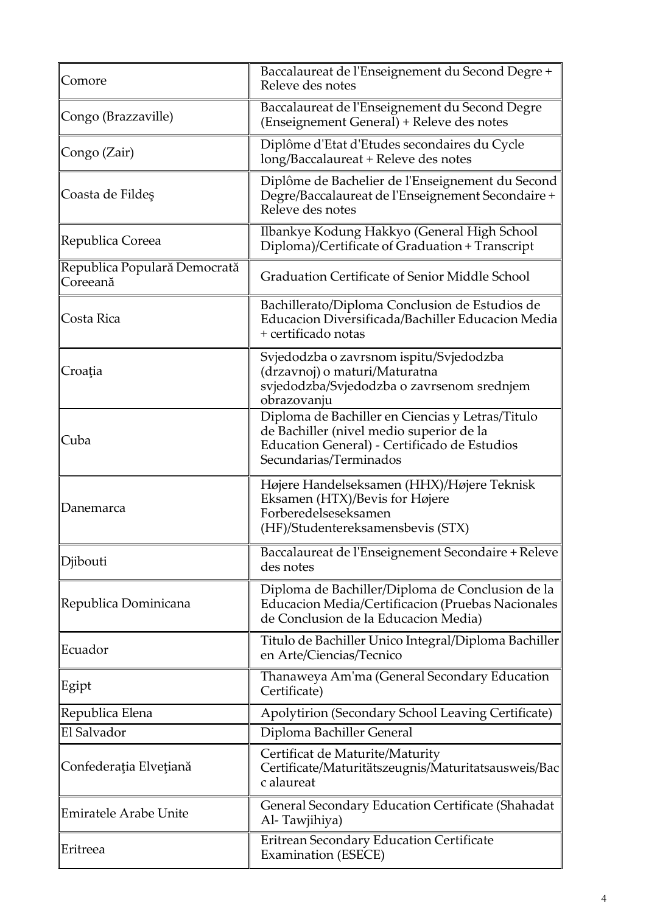| Comore                                   | Baccalaureat de l'Enseignement du Second Degre +<br>Releve des notes                                                                                                   |
|------------------------------------------|------------------------------------------------------------------------------------------------------------------------------------------------------------------------|
| Congo (Brazzaville)                      | Baccalaureat de l'Enseignement du Second Degre<br>(Enseignement General) + Releve des notes                                                                            |
| Congo (Zair)                             | Diplôme d'Etat d'Etudes secondaires du Cycle<br>long/Baccalaureat + Releve des notes                                                                                   |
| Coasta de Fildeş                         | Diplôme de Bachelier de l'Enseignement du Second<br>Degre/Baccalaureat de l'Enseignement Secondaire +<br>Releve des notes                                              |
| Republica Coreea                         | Ilbankye Kodung Hakkyo (General High School<br>Diploma)/Certificate of Graduation + Transcript                                                                         |
| Republica Populară Democrată<br>Coreeană | Graduation Certificate of Senior Middle School                                                                                                                         |
| Costa Rica                               | Bachillerato/Diploma Conclusion de Estudios de<br>Educacion Diversificada/Bachiller Educacion Media<br>+ certificado notas                                             |
| Croația                                  | Svjedodzba o zavrsnom ispitu/Svjedodzba<br>(drzavnoj) o maturi/Maturatna<br>svjedodzba/Svjedodzba o zavrsenom srednjem<br>obrazovanju                                  |
| Cuba                                     | Diploma de Bachiller en Ciencias y Letras/Titulo<br>de Bachiller (nivel medio superior de la<br>Education General) - Certificado de Estudios<br>Secundarias/Terminados |
| Danemarca                                | Højere Handelseksamen (HHX)/Højere Teknisk<br>Eksamen (HTX)/Bevis for Højere<br>Forberedelseseksamen<br>(HF)/Studentereksamensbevis (STX)                              |
| Djibouti                                 | Baccalaureat de l'Enseignement Secondaire + Releve<br>des notes                                                                                                        |
| Republica Dominicana                     | Diploma de Bachiller/Diploma de Conclusion de la<br>Educacion Media/Certificacion (Pruebas Nacionales<br>de Conclusion de la Educacion Media)                          |
| Ecuador                                  | Titulo de Bachiller Unico Integral/Diploma Bachiller<br>en Arte/Ciencias/Tecnico                                                                                       |
| Egipt                                    | Thanaweya Am'ma (General Secondary Education<br>Certificate)                                                                                                           |
| Republica Elena                          | Apolytirion (Secondary School Leaving Certificate)                                                                                                                     |
| El Salvador                              | Diploma Bachiller General                                                                                                                                              |
| Confederația Elvețiană                   | Certificat de Maturite/Maturity<br>Certificate/Maturitätszeugnis/Maturitatsausweis/Bac<br>c alaureat                                                                   |
| <b>Emiratele Arabe Unite</b>             | General Secondary Education Certificate (Shahadat<br>Al-Tawjihiya)                                                                                                     |
| Eritreea                                 | Eritrean Secondary Education Certificate<br><b>Examination (ESECE)</b>                                                                                                 |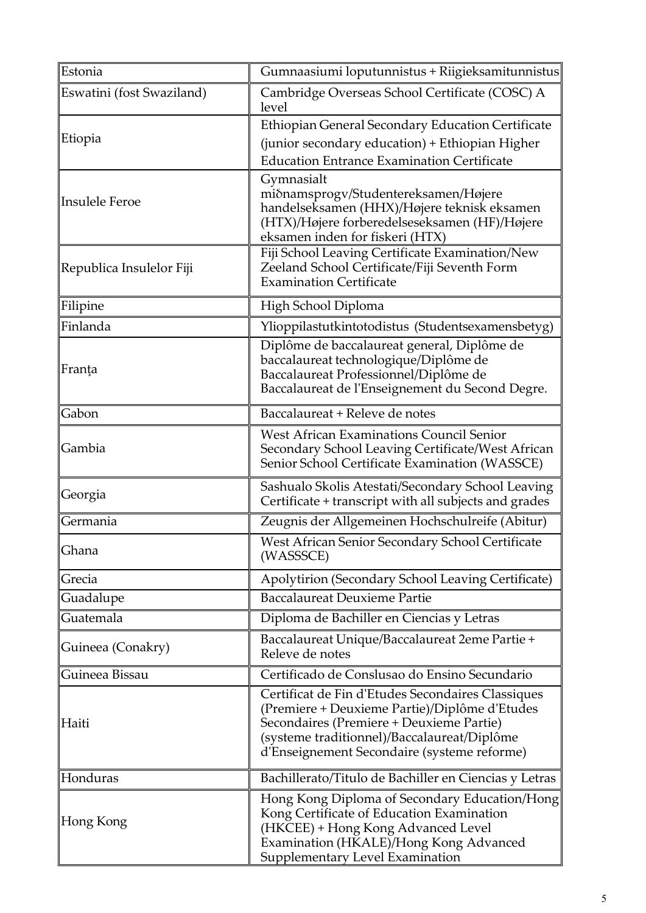| Estonia                   | Gumnaasiumi loputunnistus + Riigieksamitunnistus                                                                                                                                                                                             |
|---------------------------|----------------------------------------------------------------------------------------------------------------------------------------------------------------------------------------------------------------------------------------------|
| Eswatini (fost Swaziland) | Cambridge Overseas School Certificate (COSC) A<br>level                                                                                                                                                                                      |
|                           | Ethiopian General Secondary Education Certificate                                                                                                                                                                                            |
| Etiopia                   | (junior secondary education) + Ethiopian Higher                                                                                                                                                                                              |
|                           | <b>Education Entrance Examination Certificate</b>                                                                                                                                                                                            |
| Insulele Feroe            | Gymnasialt<br>miðnamsprogv/Studentereksamen/Højere<br>handelseksamen (HHX)/Højere teknisk eksamen<br>(HTX)/Højere forberedelseseksamen (HF)/Højere<br>eksamen inden for fiskeri (HTX)                                                        |
| Republica Insulelor Fiji  | Fiji School Leaving Certificate Examination/New<br>Zeeland School Certificate/Fiji Seventh Form<br><b>Examination Certificate</b>                                                                                                            |
| Filipine                  | High School Diploma                                                                                                                                                                                                                          |
| Finlanda                  | Ylioppilastutkintotodistus (Studentsexamensbetyg)                                                                                                                                                                                            |
| Franța                    | Diplôme de baccalaureat general, Diplôme de<br>baccalaureat technologique/Diplôme de<br>Baccalaureat Professionnel/Diplôme de<br>Baccalaureat de l'Enseignement du Second Degre.                                                             |
| Gabon                     | Baccalaureat + Releve de notes                                                                                                                                                                                                               |
| Gambia                    | <b>West African Examinations Council Senior</b><br>Secondary School Leaving Certificate/West African<br>Senior School Certificate Examination (WASSCE)                                                                                       |
| Georgia                   | Sashualo Skolis Atestati/Secondary School Leaving<br>Certificate + transcript with all subjects and grades                                                                                                                                   |
| Germania                  | Zeugnis der Allgemeinen Hochschulreife (Abitur)                                                                                                                                                                                              |
| Ghana                     | West African Senior Secondary School Certificate<br>(WASSSCE)                                                                                                                                                                                |
| Grecia                    | Apolytirion (Secondary School Leaving Certificate)                                                                                                                                                                                           |
| Guadalupe                 | <b>Baccalaureat Deuxieme Partie</b>                                                                                                                                                                                                          |
| Guatemala                 | Diploma de Bachiller en Ciencias y Letras                                                                                                                                                                                                    |
| Guineea (Conakry)         | Baccalaureat Unique/Baccalaureat 2eme Partie +<br>Releve de notes                                                                                                                                                                            |
| Guineea Bissau            | Certificado de Conslusao do Ensino Secundario                                                                                                                                                                                                |
| Haiti                     | Certificat de Fin d'Etudes Secondaires Classiques<br>(Premiere + Deuxieme Partie)/Diplôme d'Etudes<br>Secondaires (Premiere + Deuxieme Partie)<br>(systeme traditionnel)/Baccalaureat/Diplôme<br>d'Enseignement Secondaire (systeme reforme) |
| Honduras                  | Bachillerato/Titulo de Bachiller en Ciencias y Letras                                                                                                                                                                                        |
| Hong Kong                 | Hong Kong Diploma of Secondary Education/Hong<br>Kong Certificate of Education Examination<br>(HKCEE) + Hong Kong Advanced Level<br>Examination (HKALE)/Hong Kong Advanced<br>Supplementary Level Examination                                |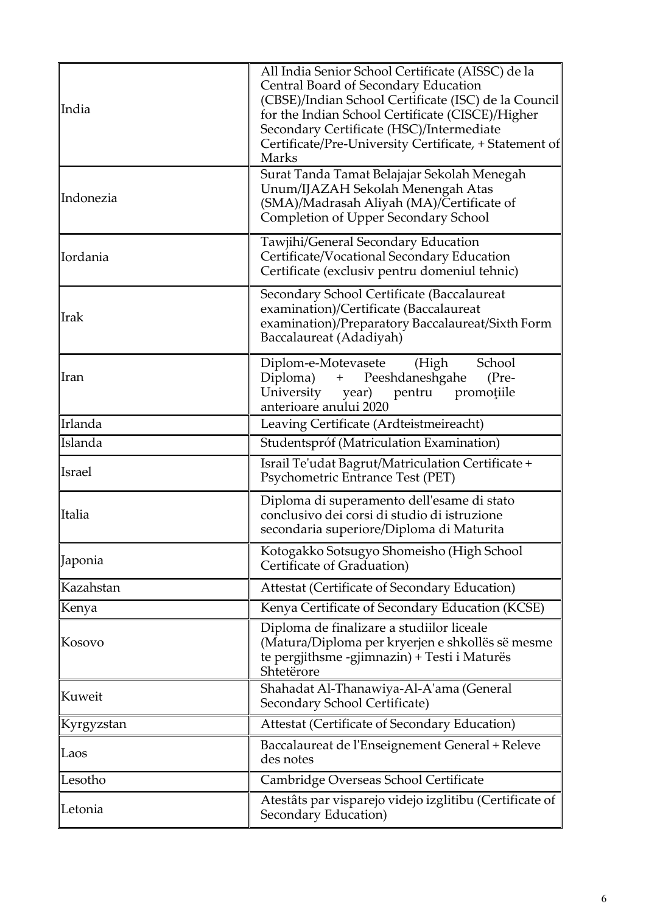| India         | All India Senior School Certificate (AISSC) de la<br>Central Board of Secondary Education<br>(CBSE)/Indian School Certificate (ISC) de la Council<br>for the Indian School Certificate (CISCE)/Higher<br>Secondary Certificate (HSC)/Intermediate<br>Certificate/Pre-University Certificate, + Statement of<br><b>Marks</b> |
|---------------|-----------------------------------------------------------------------------------------------------------------------------------------------------------------------------------------------------------------------------------------------------------------------------------------------------------------------------|
| Indonezia     | Surat Tanda Tamat Belajajar Sekolah Menegah<br>Unum/IJAZAH Sekolah Menengah Atas<br>(SMA)/Madrasah Aliyah (MA)/Certificate of<br>Completion of Upper Secondary School                                                                                                                                                       |
| Iordania      | Tawjihi/General Secondary Education<br>Certificate/Vocational Secondary Education<br>Certificate (exclusiv pentru domeniul tehnic)                                                                                                                                                                                          |
| <b>Irak</b>   | Secondary School Certificate (Baccalaureat<br>examination)/Certificate (Baccalaureat<br>examination)/Preparatory Baccalaureat/Sixth Form<br>Baccalaureat (Adadiyah)                                                                                                                                                         |
| Iran          | School<br>Diplom-e-Motevasete<br>(High<br>Diploma) + Peeshdaneshgahe<br>$(Pre-$<br>University year) pentru promoțiile<br>anterioare anului 2020                                                                                                                                                                             |
| Irlanda       | Leaving Certificate (Ardteistmeireacht)                                                                                                                                                                                                                                                                                     |
| Islanda       | Studentspróf (Matriculation Examination)                                                                                                                                                                                                                                                                                    |
| <b>Israel</b> | Israil Te'udat Bagrut/Matriculation Certificate +<br>Psychometric Entrance Test (PET)                                                                                                                                                                                                                                       |
| Italia        | Diploma di superamento dell'esame di stato<br>conclusivo dei corsi di studio di istruzione<br>secondaria superiore/Diploma di Maturita                                                                                                                                                                                      |
| Japonia       | Kotogakko Sotsugyo Shomeisho (High School<br>Certificate of Graduation)                                                                                                                                                                                                                                                     |
| Kazahstan     | Attestat (Certificate of Secondary Education)                                                                                                                                                                                                                                                                               |
| Kenya         | Kenya Certificate of Secondary Education (KCSE)                                                                                                                                                                                                                                                                             |
| Kosovo        | Diploma de finalizare a studiilor liceale<br>(Matura/Diploma per kryerjen e shkollës së mesme<br>te pergjithsme -gjimnazin) + Testi i Maturës<br>Shtetërore                                                                                                                                                                 |
| Kuweit        | Shahadat Al-Thanawiya-Al-A'ama (General<br>Secondary School Certificate)                                                                                                                                                                                                                                                    |
| Kyrgyzstan    | Attestat (Certificate of Secondary Education)                                                                                                                                                                                                                                                                               |
| Laos          | Baccalaureat de l'Enseignement General + Releve<br>des notes                                                                                                                                                                                                                                                                |
| Lesotho       | Cambridge Overseas School Certificate                                                                                                                                                                                                                                                                                       |
| Letonia       | Atestâts par visparejo videjo izglitibu (Certificate of<br>Secondary Education)                                                                                                                                                                                                                                             |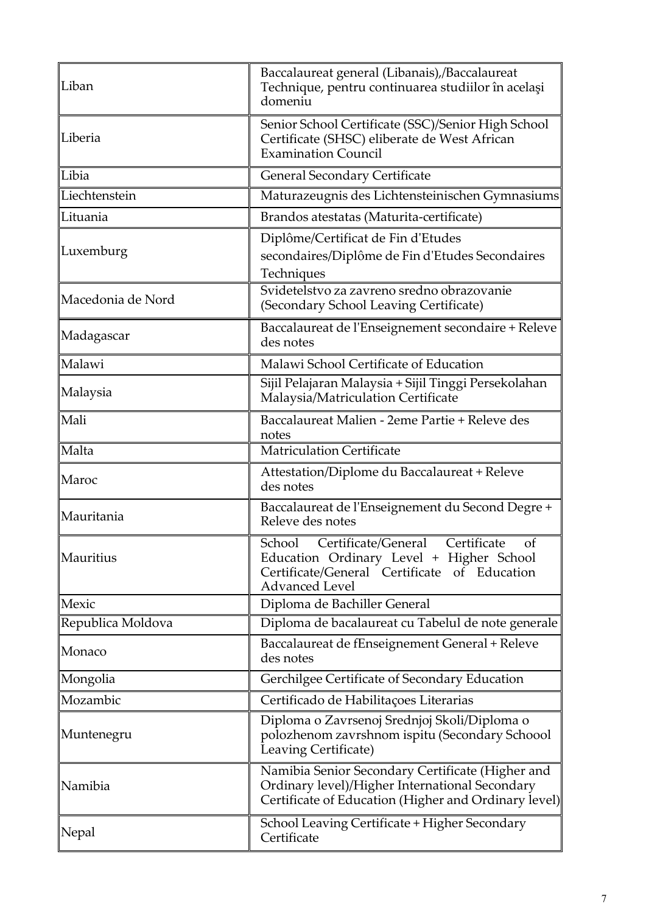| Liban             | Baccalaureat general (Libanais),/Baccalaureat<br>Technique, pentru continuarea studiilor în același<br>domeniu                                                          |
|-------------------|-------------------------------------------------------------------------------------------------------------------------------------------------------------------------|
| Liberia           | Senior School Certificate (SSC)/Senior High School<br>Certificate (SHSC) eliberate de West African<br><b>Examination Council</b>                                        |
| Libia             | <b>General Secondary Certificate</b>                                                                                                                                    |
| Liechtenstein     | Maturazeugnis des Lichtensteinischen Gymnasiums                                                                                                                         |
| Lituania          | Brandos atestatas (Maturita-certificate)                                                                                                                                |
| Luxemburg         | Diplôme/Certificat de Fin d'Etudes<br>secondaires/Diplôme de Fin d'Etudes Secondaires<br>Techniques                                                                     |
| Macedonia de Nord | Svidetelstvo za zavreno sredno obrazovanie<br>(Secondary School Leaving Certificate)                                                                                    |
| Madagascar        | Baccalaureat de l'Enseignement secondaire + Releve<br>des notes                                                                                                         |
| Malawi            | Malawi School Certificate of Education                                                                                                                                  |
| Malaysia          | Sijil Pelajaran Malaysia + Sijil Tinggi Persekolahan<br>Malaysia/Matriculation Certificate                                                                              |
| Mali              | Baccalaureat Malien - 2eme Partie + Releve des<br>notes                                                                                                                 |
| Malta             | <b>Matriculation Certificate</b>                                                                                                                                        |
| Maroc             | Attestation/Diplome du Baccalaureat + Releve<br>des notes                                                                                                               |
| Mauritania        | Baccalaureat de l'Enseignement du Second Degre +<br>Releve des notes                                                                                                    |
| Mauritius         | Certificate<br>School<br>Certificate/General<br>of<br>Education Ordinary Level + Higher School<br>Certificate/General Certificate of Education<br><b>Advanced Level</b> |
| Mexic             | Diploma de Bachiller General                                                                                                                                            |
| Republica Moldova | Diploma de bacalaureat cu Tabelul de note generale                                                                                                                      |
| Monaco            | Baccalaureat de fEnseignement General + Releve<br>des notes                                                                                                             |
| Mongolia          | Gerchilgee Certificate of Secondary Education                                                                                                                           |
| Mozambic          | Certificado de Habilitações Literarias                                                                                                                                  |
| Muntenegru        | Diploma o Zavrsenoj Srednjoj Skoli/Diploma o<br>polozhenom zavrshnom ispitu (Secondary Schoool<br>Leaving Certificate)                                                  |
| Namibia           | Namibia Senior Secondary Certificate (Higher and<br>Ordinary level)/Higher International Secondary<br>Certificate of Education (Higher and Ordinary level)              |
| Nepal             | School Leaving Certificate + Higher Secondary<br>Certificate                                                                                                            |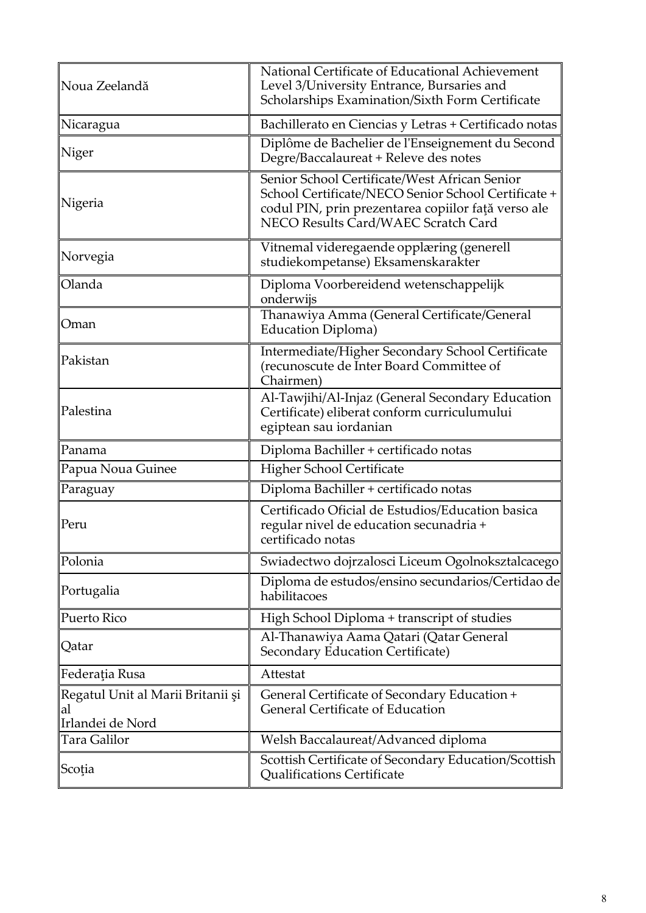| Noua Zeelandă                                               | National Certificate of Educational Achievement<br>Level 3/University Entrance, Bursaries and<br>Scholarships Examination/Sixth Form Certificate                                                   |
|-------------------------------------------------------------|----------------------------------------------------------------------------------------------------------------------------------------------------------------------------------------------------|
| Nicaragua                                                   | Bachillerato en Ciencias y Letras + Certificado notas                                                                                                                                              |
| Niger                                                       | Diplôme de Bachelier de l'Enseignement du Second<br>Degre/Baccalaureat + Releve des notes                                                                                                          |
| Nigeria                                                     | Senior School Certificate/West African Senior<br>School Certificate/NECO Senior School Certificate +<br>codul PIN, prin prezentarea copiilor față verso ale<br>NECO Results Card/WAEC Scratch Card |
| Norvegia                                                    | Vitnemal videregaende opplæring (generell<br>studiekompetanse) Eksamenskarakter                                                                                                                    |
| Olanda                                                      | Diploma Voorbereidend wetenschappelijk<br>onderwijs                                                                                                                                                |
| Oman                                                        | Thanawiya Amma (General Certificate/General<br><b>Education Diploma)</b>                                                                                                                           |
| Pakistan                                                    | Intermediate/Higher Secondary School Certificate<br>(recunoscute de Inter Board Committee of<br>Chairmen)                                                                                          |
| Palestina                                                   | Al-Tawjihi/Al-Injaz (General Secondary Education<br>Certificate) eliberat conform curriculumului<br>egiptean sau iordanian                                                                         |
| Panama                                                      | Diploma Bachiller + certificado notas                                                                                                                                                              |
| Papua Noua Guinee                                           | Higher School Certificate                                                                                                                                                                          |
| Paraguay                                                    | Diploma Bachiller + certificado notas                                                                                                                                                              |
| Peru                                                        | Certificado Oficial de Estudios/Education basica<br>regular nivel de education secunadria +<br>certificado notas                                                                                   |
| Polonia                                                     | Swiadectwo dojrzalosci Liceum Ogolnoksztalcacego                                                                                                                                                   |
| Portugalia                                                  | Diploma de estudos/ensino secundarios/Certidao de<br>habilitacoes                                                                                                                                  |
| Puerto Rico                                                 | High School Diploma + transcript of studies                                                                                                                                                        |
| Qatar                                                       | Al-Thanawiya Aama Qatari (Qatar General<br>Secondary Education Certificate)                                                                                                                        |
| Federația Rusa                                              | Attestat                                                                                                                                                                                           |
| Regatul Unit al Marii Britanii și<br>al<br>Irlandei de Nord | General Certificate of Secondary Education +<br><b>General Certificate of Education</b>                                                                                                            |
| Tara Galilor                                                | Welsh Baccalaureat/Advanced diploma                                                                                                                                                                |
| Scoția                                                      | Scottish Certificate of Secondary Education/Scottish<br><b>Qualifications Certificate</b>                                                                                                          |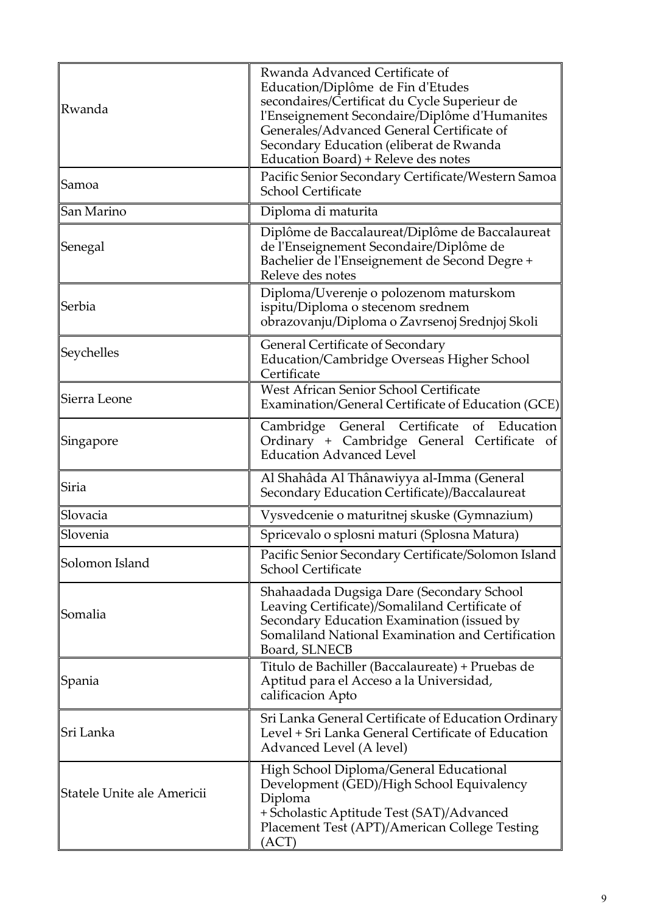| Rwanda                     | Rwanda Advanced Certificate of<br>Education/Diplôme de Fin d'Etudes<br>secondaires/Certificat du Cycle Superieur de<br>l'Enseignement Secondaire/Diplôme d'Humanites<br>Generales/Advanced General Certificate of<br>Secondary Education (eliberat de Rwanda<br>Education Board) + Releve des notes |
|----------------------------|-----------------------------------------------------------------------------------------------------------------------------------------------------------------------------------------------------------------------------------------------------------------------------------------------------|
| Samoa                      | Pacific Senior Secondary Certificate/Western Samoa<br>School Certificate                                                                                                                                                                                                                            |
| San Marino                 | Diploma di maturita                                                                                                                                                                                                                                                                                 |
| Senegal                    | Diplôme de Baccalaureat/Diplôme de Baccalaureat<br>de l'Enseignement Secondaire/Diplôme de<br>Bachelier de l'Enseignement de Second Degre +<br>Releve des notes                                                                                                                                     |
| Serbia                     | Diploma/Uverenje o polozenom maturskom<br>ispitu/Diploma o stecenom srednem<br>obrazovanju/Diploma o Zavrsenoj Srednjoj Skoli                                                                                                                                                                       |
| Seychelles                 | General Certificate of Secondary<br>Education/Cambridge Overseas Higher School<br>Certificate                                                                                                                                                                                                       |
| Sierra Leone               | West African Senior School Certificate<br>Examination/General Certificate of Education (GCE)                                                                                                                                                                                                        |
| Singapore                  | Cambridge General Certificate of Education<br>Ordinary + Cambridge General Certificate of<br><b>Education Advanced Level</b>                                                                                                                                                                        |
| Siria                      | Al Shahâda Al Thânawiyya al-Imma (General<br>Secondary Education Certificate)/Baccalaureat                                                                                                                                                                                                          |
| Slovacia                   | Vysvedcenie o maturitnej skuske (Gymnazium)                                                                                                                                                                                                                                                         |
| Slovenia                   | Spricevalo o splosni maturi (Splosna Matura)                                                                                                                                                                                                                                                        |
| Solomon Island             | Pacific Senior Secondary Certificate/Solomon Island<br><b>School Certificate</b>                                                                                                                                                                                                                    |
| Somalia                    | Shahaadada Dugsiga Dare (Secondary School<br>Leaving Certificate)/Somaliland Certificate of<br>Secondary Education Examination (issued by<br>Somaliland National Examination and Certification<br>Board, SLNECB                                                                                     |
| Spania                     | Titulo de Bachiller (Baccalaureate) + Pruebas de<br>Aptitud para el Acceso a la Universidad,<br>calificacion Apto                                                                                                                                                                                   |
| Sri Lanka                  | Sri Lanka General Certificate of Education Ordinary<br>Level + Sri Lanka General Certificate of Education<br>Advanced Level (A level)                                                                                                                                                               |
| Statele Unite ale Americii | High School Diploma/General Educational<br>Development (GED)/High School Equivalency<br>Diploma<br>+ Scholastic Aptitude Test (SAT)/Advanced<br>Placement Test (APT)/American College Testing<br>(ACT)                                                                                              |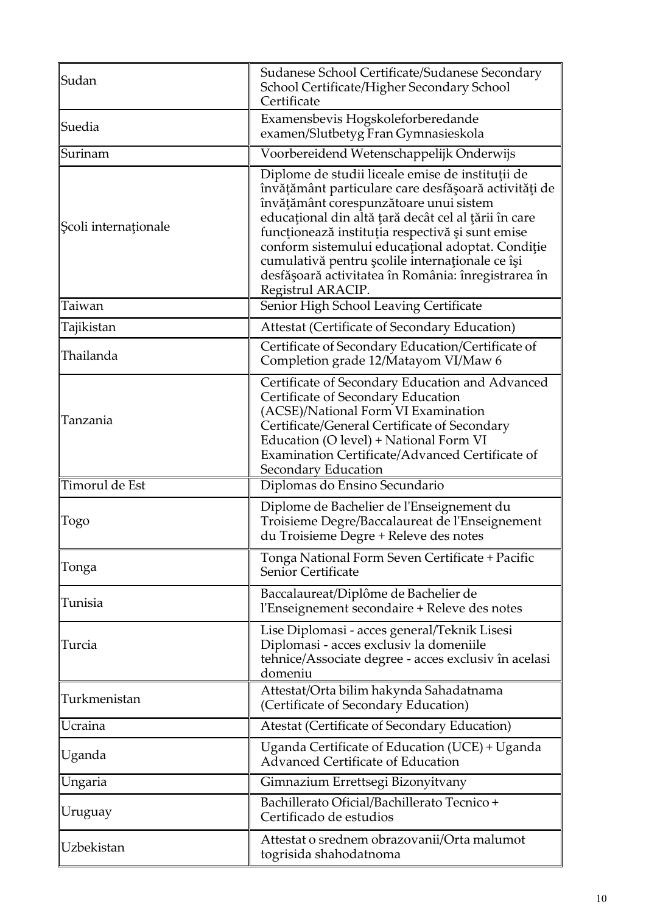| Sudan                | Sudanese School Certificate/Sudanese Secondary<br>School Certificate/Higher Secondary School<br>Certificate                                                                                                                                                                                                                                                                                                                                       |
|----------------------|---------------------------------------------------------------------------------------------------------------------------------------------------------------------------------------------------------------------------------------------------------------------------------------------------------------------------------------------------------------------------------------------------------------------------------------------------|
| Suedia               | Examensbevis Hogskoleforberedande<br>examen/Slutbetyg Fran Gymnasieskola                                                                                                                                                                                                                                                                                                                                                                          |
| Surinam              | Voorbereidend Wetenschappelijk Onderwijs                                                                                                                                                                                                                                                                                                                                                                                                          |
| Scoli internaționale | Diplome de studii liceale emise de instituții de<br>învățământ particulare care desfășoară activități de<br>învățământ corespunzătoare unui sistem<br>educațional din altă țară decât cel al țării în care<br>funcționează instituția respectivă și sunt emise<br>conform sistemului educațional adoptat. Condiție<br>cumulativă pentru școlile internaționale ce își<br>desfășoară activitatea în România: înregistrarea în<br>Registrul ARACIP. |
| Taiwan               | Senior High School Leaving Certificate                                                                                                                                                                                                                                                                                                                                                                                                            |
| Tajikistan           | Attestat (Certificate of Secondary Education)                                                                                                                                                                                                                                                                                                                                                                                                     |
| Thailanda            | Certificate of Secondary Education/Certificate of<br>Completion grade 12/Matayom VI/Maw 6                                                                                                                                                                                                                                                                                                                                                         |
| Tanzania             | Certificate of Secondary Education and Advanced<br>Certificate of Secondary Education<br>(ACSE)/National Form VI Examination<br>Certificate/General Certificate of Secondary<br>Education (O level) + National Form VI<br>Examination Certificate/Advanced Certificate of<br>Secondary Education                                                                                                                                                  |
| Timorul de Est       | Diplomas do Ensino Secundario                                                                                                                                                                                                                                                                                                                                                                                                                     |
| Togo                 | Diplome de Bachelier de l'Enseignement du<br>Troisieme Degre/Baccalaureat de l'Enseignement<br>du Troisieme Degre + Releve des notes                                                                                                                                                                                                                                                                                                              |
| Tonga                | Tonga National Form Seven Certificate + Pacific<br>Senior Certificate                                                                                                                                                                                                                                                                                                                                                                             |
| Tunisia              | Baccalaureat/Diplôme de Bachelier de<br>l'Enseignement secondaire + Releve des notes                                                                                                                                                                                                                                                                                                                                                              |
| Turcia               | Lise Diplomasi - acces general/Teknik Lisesi<br>Diplomasi - acces exclusiv la domeniile<br>tehnice/Associate degree - acces exclusiv în acelasi<br>domeniu                                                                                                                                                                                                                                                                                        |
| Turkmenistan         | Attestat/Orta bilim hakynda Sahadatnama<br>(Certificate of Secondary Education)                                                                                                                                                                                                                                                                                                                                                                   |
| Ucraina              | Atestat (Certificate of Secondary Education)                                                                                                                                                                                                                                                                                                                                                                                                      |
| Uganda               | Uganda Certificate of Education (UCE) + Uganda<br>Advanced Certificate of Education                                                                                                                                                                                                                                                                                                                                                               |
| Ungaria              | Gimnazium Errettsegi Bizonyitvany                                                                                                                                                                                                                                                                                                                                                                                                                 |
| Uruguay              | Bachillerato Oficial/Bachillerato Tecnico+<br>Certificado de estudios                                                                                                                                                                                                                                                                                                                                                                             |
| Uzbekistan           | Attestat o srednem obrazovanii/Orta malumot<br>togrisida shahodatnoma                                                                                                                                                                                                                                                                                                                                                                             |